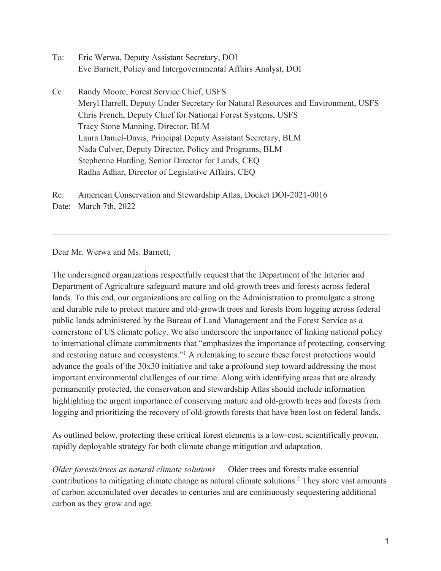- To: Eric Werwa, Deputy Assistant Secretary, DOI Eve Barnett, Policy and Intergovernmental Affairs Analyst, DOI
- Cc: Randy Moore, Forest Service Chief, USFS Meryl Harrell, Deputy Under Secretary for Natural Resources and Environment, USFS Chris French, Deputy Chief for National Forest Systems, USFS Tracy Stone Manning, Director, BLM Laura Daniel-Davis, Principal Deputy Assistant Secretary, BLM Nada Culver, Deputy Director, Policy and Programs, BLM Stephenne Harding, Senior Director for Lands, CEQ Radha Adhar, Director of Legislative Affairs, CEQ

Re: American Conservation and Stewardship Atlas, Docket DOI-2021-0016 Date: March 7th, 2022

Dear Mr. Werwa and Ms. Barnett,

The undersigned organizations respectfully request that the Department of the Interior and Department of Agriculture safeguard mature and old-growth trees and forests across federal lands. To this end, our organizations are calling on the Administration to promulgate a strong and durable rule to protect mature and old-growth trees and forests from logging across federal public lands administered by the Bureau of Land Management and the Forest Service as a cornerstone of US climate policy. We also underscore the importance of linking national policy to international climate commitments that "emphasizes the importance of protecting, conserving and restoring nature and ecosystems."1 A rulemaking to secure these forest protections would advance the goals of the 30x30 initiative and take a profound step toward addressing the most important environmental challenges of our time. Along with identifying areas that are already permanently protected, the conservation and stewardship Atlas should include information highlighting the urgent importance of conserving mature and old-growth trees and forests from logging and prioritizing the recovery of old-growth forests that have been lost on federal lands.

As outlined below, protecting these critical forest elements is a low-cost, scientifically proven, rapidly deployable strategy for both climate change mitigation and adaptation.

*Older forests/trees as natural climate solutions* — Older trees and forests make essential contributions to mitigating climate change as natural climate solutions.2 They store vast amounts of carbon accumulated over decades to centuries and are continuously sequestering additional carbon as they grow and age.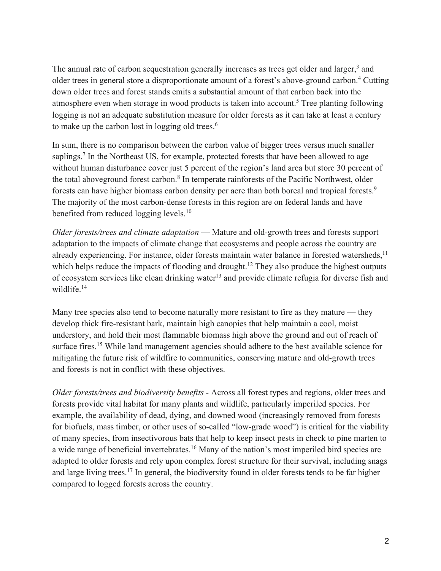The annual rate of carbon sequestration generally increases as trees get older and larger,<sup>3</sup> and older trees in general store a disproportionate amount of a forest's above-ground carbon.4 Cutting down older trees and forest stands emits a substantial amount of that carbon back into the atmosphere even when storage in wood products is taken into account.<sup>5</sup> Tree planting following logging is not an adequate substitution measure for older forests as it can take at least a century to make up the carbon lost in logging old trees.<sup>6</sup>

In sum, there is no comparison between the carbon value of bigger trees versus much smaller saplings.<sup>7</sup> In the Northeast US, for example, protected forests that have been allowed to age without human disturbance cover just 5 percent of the region's land area but store 30 percent of the total aboveground forest carbon.<sup>8</sup> In temperate rainforests of the Pacific Northwest, older forests can have higher biomass carbon density per acre than both boreal and tropical forests.<sup>9</sup> The majority of the most carbon-dense forests in this region are on federal lands and have benefited from reduced logging levels.<sup>10</sup>

*Older forests/trees and climate adaptation* — Mature and old-growth trees and forests support adaptation to the impacts of climate change that ecosystems and people across the country are already experiencing. For instance, older forests maintain water balance in forested watersheds,<sup>11</sup> which helps reduce the impacts of flooding and drought.<sup>12</sup> They also produce the highest outputs of ecosystem services like clean drinking water<sup>13</sup> and provide climate refugia for diverse fish and wildlife.<sup>14</sup>

Many tree species also tend to become naturally more resistant to fire as they mature — they develop thick fire-resistant bark, maintain high canopies that help maintain a cool, moist understory, and hold their most flammable biomass high above the ground and out of reach of surface fires.<sup>15</sup> While land management agencies should adhere to the best available science for mitigating the future risk of wildfire to communities, conserving mature and old-growth trees and forests is not in conflict with these objectives.

*Older forests/trees and biodiversity benefits -* Across all forest types and regions, older trees and forests provide vital habitat for many plants and wildlife, particularly imperiled species. For example, the availability of dead, dying, and downed wood (increasingly removed from forests for biofuels, mass timber, or other uses of so-called "low-grade wood") is critical for the viability of many species, from insectivorous bats that help to keep insect pests in check to pine marten to a wide range of beneficial invertebrates.<sup>16</sup> Many of the nation's most imperiled bird species are adapted to older forests and rely upon complex forest structure for their survival, including snags and large living trees.<sup>17</sup> In general, the biodiversity found in older forests tends to be far higher compared to logged forests across the country.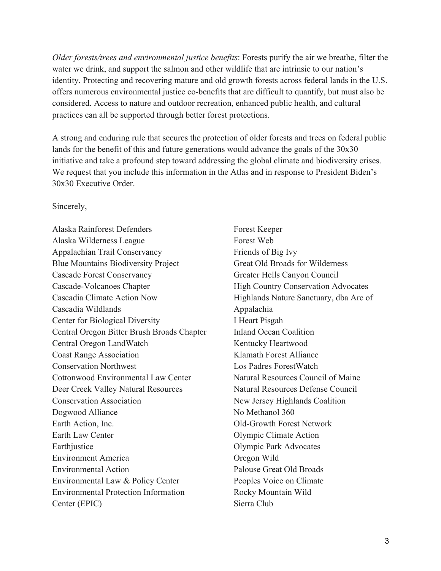*Older forests/trees and environmental justice benefits*: Forests purify the air we breathe, filter the water we drink, and support the salmon and other wildlife that are intrinsic to our nation's identity. Protecting and recovering mature and old growth forests across federal lands in the U.S. offers numerous environmental justice co-benefits that are difficult to quantify, but must also be considered. Access to nature and outdoor recreation, enhanced public health, and cultural practices can all be supported through better forest protections.

A strong and enduring rule that secures the protection of older forests and trees on federal public lands for the benefit of this and future generations would advance the goals of the 30x30 initiative and take a profound step toward addressing the global climate and biodiversity crises. We request that you include this information in the Atlas and in response to President Biden's 30x30 Executive Order.

## Sincerely,

Alaska Rainforest Defenders Alaska Wilderness League Appalachian Trail Conservancy Blue Mountains Biodiversity Project Cascade Forest Conservancy Cascade-Volcanoes Chapter Cascadia Climate Action Now Cascadia Wildlands Center for Biological Diversity Central Oregon Bitter Brush Broads Chapter Central Oregon LandWatch Coast Range Association Conservation Northwest Cottonwood Environmental Law Center Deer Creek Valley Natural Resources Conservation Association Dogwood Alliance Earth Action, Inc. Earth Law Center Earthiustice Environment America Environmental Action Environmental Law & Policy Center Environmental Protection Information Center (EPIC)

Forest Keeper Forest Web Friends of Big Ivy Great Old Broads for Wilderness Greater Hells Canyon Council High Country Conservation Advocates Highlands Nature Sanctuary, dba Arc of Appalachia I Heart Pisgah Inland Ocean Coalition Kentucky Heartwood Klamath Forest Alliance Los Padres ForestWatch Natural Resources Council of Maine Natural Resources Defense Council New Jersey Highlands Coalition No Methanol 360 Old-Growth Forest Network Olympic Climate Action Olympic Park Advocates Oregon Wild Palouse Great Old Broads Peoples Voice on Climate Rocky Mountain Wild Sierra Club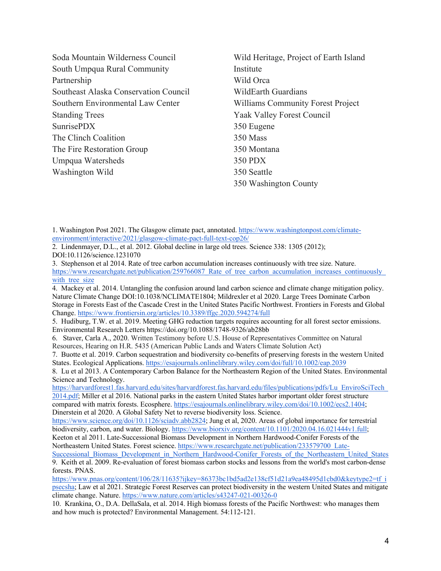| Soda Mountain Wilderness Council      | Wild Heritage, Project of Earth Island   |
|---------------------------------------|------------------------------------------|
| South Umpqua Rural Community          | Institute                                |
| Partnership                           | Wild Orca                                |
| Southeast Alaska Conservation Council | WildEarth Guardians                      |
| Southern Environmental Law Center     | <b>Williams Community Forest Project</b> |
| <b>Standing Trees</b>                 | Yaak Valley Forest Council               |
| SunrisePDX                            | 350 Eugene                               |
| The Clinch Coalition                  | 350 Mass                                 |
| The Fire Restoration Group            | 350 Montana                              |
| Umpqua Watersheds                     | 350 PDX                                  |
| Washington Wild                       | 350 Seattle                              |
|                                       | 350 Washington County                    |

1. Washington Post 2021. The Glasgow climate pact, annotated. https://www.washingtonpost.com/climateenvironment/interactive/2021/glasgow-climate-pact-full-text-cop26/

2. Lindenmayer, D.L., et al. 2012. Global decline in large old trees. Science 338: 1305 (2012); DOI:10.1126/science.1231070

3. Stephenson et al 2014. Rate of tree carbon accumulation increases continuously with tree size. Nature. https://www.researchgate.net/publication/259766087 Rate of tree carbon accumulation increases continuously with tree size

4. Mackey et al. 2014. Untangling the confusion around land carbon science and climate change mitigation policy. Nature Climate Change DOI:10.1038/NCLIMATE1804; Mildrexler et al 2020. Large Trees Dominate Carbon Storage in Forests East of the Cascade Crest in the United States Pacific Northwest. Frontiers in Forests and Global Change. https://www.frontiersin.org/articles/10.3389/ffgc.2020.594274/full

5. Hudiburg, T.W. et al. 2019. Meeting GHG reduction targets requires accounting for all forest sector emissions. Environmental Research Letters https://doi.org/10.1088/1748-9326/ab28bb

6. Staver, Carla A., 2020. Written Testimony before U.S. House of Representatives Committee on Natural Resources, Hearing on H.R. 5435 (American Public Lands and Waters Climate Solution Act)

7. Buotte et al. 2019. Carbon sequestration and biodiversity co-benefits of preserving forests in the western United States. Ecological Applications. https://esajournals.onlinelibrary.wiley.com/doi/full/10.1002/eap.2039

8. Lu et al 2013. A Contemporary Carbon Balance for the Northeastern Region of the United States. Environmental Science and Technology.

https://harvardforest1.fas.harvard.edu/sites/harvardforest.fas.harvard.edu/files/publications/pdfs/Lu\_EnviroSciTech\_ 2014.pdf; Miller et al 2016. National parks in the eastern United States harbor important older forest structure compared with matrix forests. Ecosphere. https://esajournals.onlinelibrary.wiley.com/doi/10.1002/ecs2.1404; Dinerstein et al 2020. A Global Safety Net to reverse biodiversity loss. Science.

https://www.science.org/doi/10.1126/sciadv.abb2824; Jung et al, 2020. Areas of global importance for terrestrial biodiversity, carbon, and water. Biology. https://www.biorxiv.org/content/10.1101/2020.04.16.021444v1.full; Keeton et al 2011. Late-Successional Biomass Development in Northern Hardwood-Conifer Forests of the Northeastern United States. Forest science. https://www.researchgate.net/publication/233579700\_Late-

Successional Biomass Development in Northern Hardwood-Conifer Forests of the Northeastern United States 9. Keith et al. 2009. Re-evaluation of forest biomass carbon stocks and lessons from the world's most carbon-dense forests. PNAS.

https://www.pnas.org/content/106/28/11635?ijkey=86373bc1bd5ad2e138cf51d21a9ea48495d1cbd0&keytype2=tf\_i psecsha; Law et al 2021. Strategic Forest Reserves can protect biodiversity in the western United States and mitigate climate change. Nature. https://www.nature.com/articles/s43247-021-00326-0

10. Krankina, O., D.A. DellaSala, et al. 2014. High biomass forests of the Pacific Northwest: who manages them and how much is protected? Environmental Management. 54:112-121.